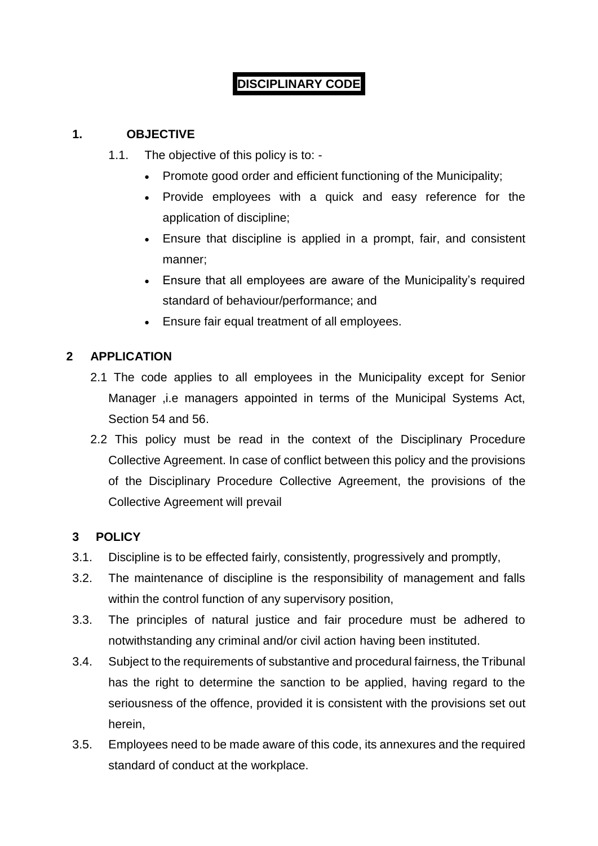# **DISCIPLINARY CODE**

### **1. OBJECTIVE**

- 1.1. The objective of this policy is to:
	- Promote good order and efficient functioning of the Municipality;
	- Provide employees with a quick and easy reference for the application of discipline;
	- Ensure that discipline is applied in a prompt, fair, and consistent manner;
	- Ensure that all employees are aware of the Municipality's required standard of behaviour/performance; and
	- Ensure fair equal treatment of all employees.

# **2 APPLICATION**

- 2.1 The code applies to all employees in the Municipality except for Senior Manager , i.e managers appointed in terms of the Municipal Systems Act, Section 54 and 56.
- 2.2 This policy must be read in the context of the Disciplinary Procedure Collective Agreement. In case of conflict between this policy and the provisions of the Disciplinary Procedure Collective Agreement, the provisions of the Collective Agreement will prevail

### **3 POLICY**

- 3.1. Discipline is to be effected fairly, consistently, progressively and promptly,
- 3.2. The maintenance of discipline is the responsibility of management and falls within the control function of any supervisory position,
- 3.3. The principles of natural justice and fair procedure must be adhered to notwithstanding any criminal and/or civil action having been instituted.
- 3.4. Subject to the requirements of substantive and procedural fairness, the Tribunal has the right to determine the sanction to be applied, having regard to the seriousness of the offence, provided it is consistent with the provisions set out herein,
- 3.5. Employees need to be made aware of this code, its annexures and the required standard of conduct at the workplace.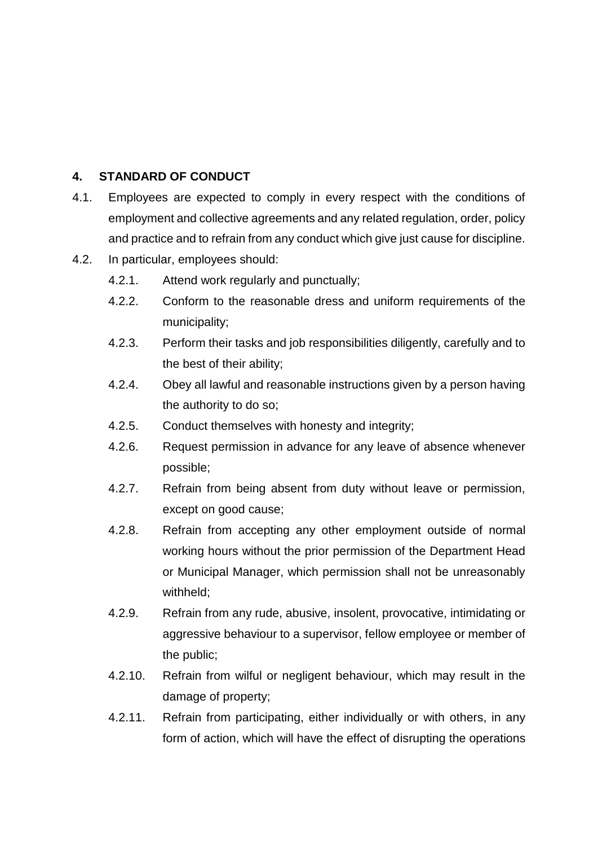### **4. STANDARD OF CONDUCT**

- 4.1. Employees are expected to comply in every respect with the conditions of employment and collective agreements and any related regulation, order, policy and practice and to refrain from any conduct which give just cause for discipline.
- 4.2. In particular, employees should:
	- 4.2.1. Attend work regularly and punctually;
	- 4.2.2. Conform to the reasonable dress and uniform requirements of the municipality;
	- 4.2.3. Perform their tasks and job responsibilities diligently, carefully and to the best of their ability;
	- 4.2.4. Obey all lawful and reasonable instructions given by a person having the authority to do so;
	- 4.2.5. Conduct themselves with honesty and integrity;
	- 4.2.6. Request permission in advance for any leave of absence whenever possible;
	- 4.2.7. Refrain from being absent from duty without leave or permission, except on good cause;
	- 4.2.8. Refrain from accepting any other employment outside of normal working hours without the prior permission of the Department Head or Municipal Manager, which permission shall not be unreasonably withheld;
	- 4.2.9. Refrain from any rude, abusive, insolent, provocative, intimidating or aggressive behaviour to a supervisor, fellow employee or member of the public;
	- 4.2.10. Refrain from wilful or negligent behaviour, which may result in the damage of property;
	- 4.2.11. Refrain from participating, either individually or with others, in any form of action, which will have the effect of disrupting the operations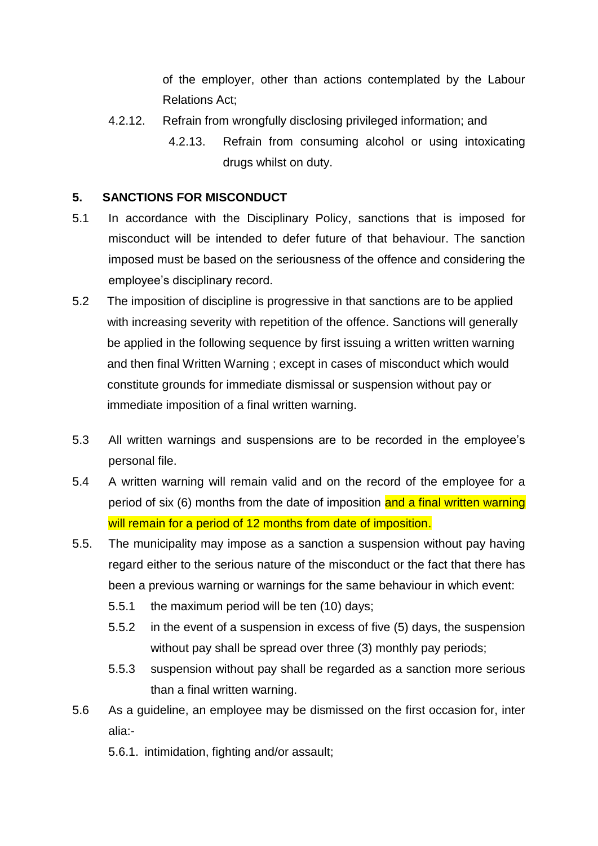of the employer, other than actions contemplated by the Labour Relations Act;

- 4.2.12. Refrain from wrongfully disclosing privileged information; and
	- 4.2.13. Refrain from consuming alcohol or using intoxicating drugs whilst on duty.

### **5. SANCTIONS FOR MISCONDUCT**

- 5.1 In accordance with the Disciplinary Policy, sanctions that is imposed for misconduct will be intended to defer future of that behaviour. The sanction imposed must be based on the seriousness of the offence and considering the employee's disciplinary record.
- 5.2 The imposition of discipline is progressive in that sanctions are to be applied with increasing severity with repetition of the offence. Sanctions will generally be applied in the following sequence by first issuing a written written warning and then final Written Warning ; except in cases of misconduct which would constitute grounds for immediate dismissal or suspension without pay or immediate imposition of a final written warning.
- 5.3 All written warnings and suspensions are to be recorded in the employee's personal file.
- 5.4 A written warning will remain valid and on the record of the employee for a period of six (6) months from the date of imposition and a final written warning will remain for a period of 12 months from date of imposition.
- 5.5. The municipality may impose as a sanction a suspension without pay having regard either to the serious nature of the misconduct or the fact that there has been a previous warning or warnings for the same behaviour in which event:
	- 5.5.1 the maximum period will be ten (10) days;
	- 5.5.2 in the event of a suspension in excess of five (5) days, the suspension without pay shall be spread over three (3) monthly pay periods;
	- 5.5.3 suspension without pay shall be regarded as a sanction more serious than a final written warning.
- 5.6 As a guideline, an employee may be dismissed on the first occasion for, inter alia:-
	- 5.6.1. intimidation, fighting and/or assault;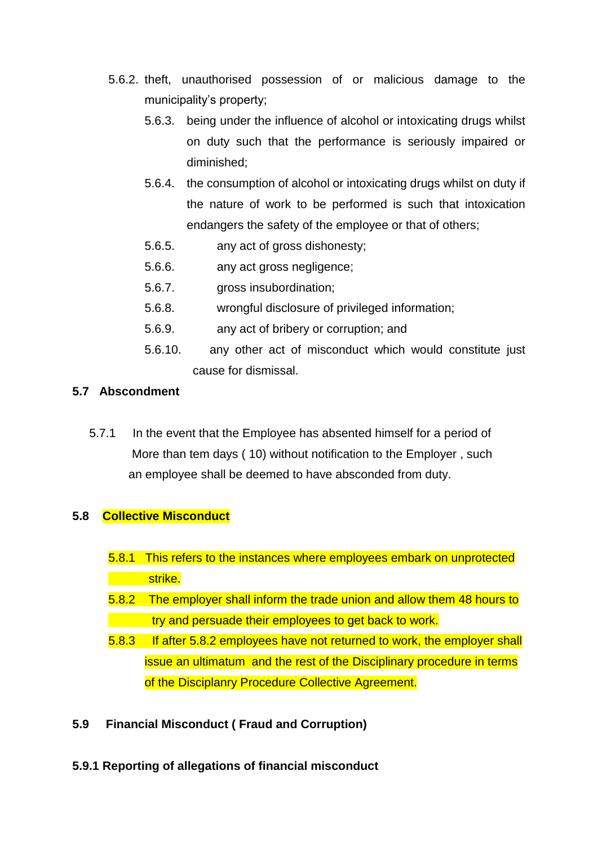- 5.6.2. theft, unauthorised possession of or malicious damage to the municipality's property;
	- 5.6.3. being under the influence of alcohol or intoxicating drugs whilst on duty such that the performance is seriously impaired or diminished;
	- 5.6.4. the consumption of alcohol or intoxicating drugs whilst on duty if the nature of work to be performed is such that intoxication endangers the safety of the employee or that of others;
	- 5.6.5. any act of gross dishonesty;
	- 5.6.6. any act gross negligence;
	- 5.6.7. gross insubordination;
	- 5.6.8. wrongful disclosure of privileged information;
	- 5.6.9. any act of bribery or corruption; and
	- 5.6.10. any other act of misconduct which would constitute just cause for dismissal.

### **5.7 Abscondment**

 5.7.1 In the event that the Employee has absented himself for a period of More than tem days ( 10) without notification to the Employer , such an employee shall be deemed to have absconded from duty.

### **5.8 Collective Misconduct**

- 5.8.1 This refers to the instances where employees embark on unprotected **strike.**
- 5.8.2 The employer shall inform the trade union and allow them 48 hours to try and persuade their employees to get back to work.
- 5.8.3 If after 5.8.2 employees have not returned to work, the employer shall issue an ultimatum and the rest of the Disciplinary procedure in terms of the Disciplanry Procedure Collective Agreement.
- **5.9 Financial Misconduct ( Fraud and Corruption)**
- **5.9.1 Reporting of allegations of financial misconduct**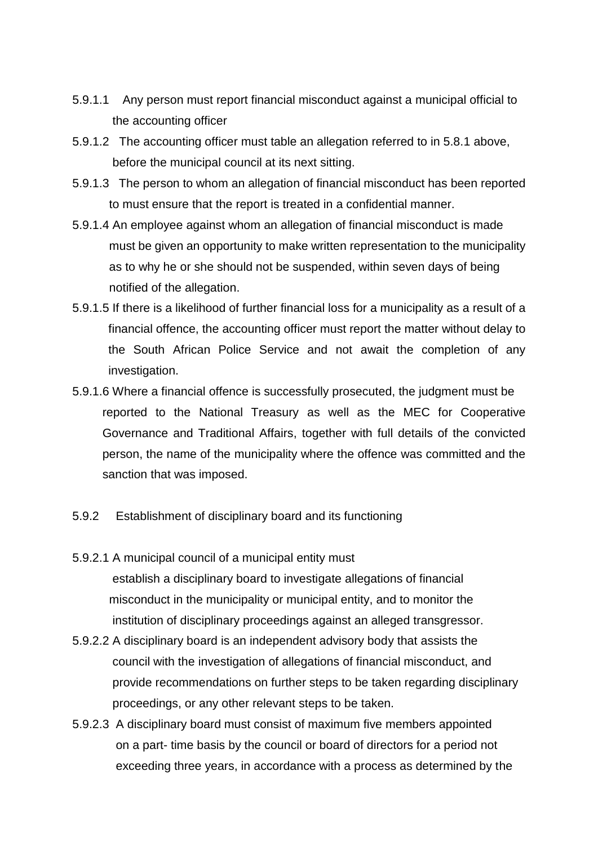- 5.9.1.1 Any person must report financial misconduct against a municipal official to the accounting officer
- 5.9.1.2 The accounting officer must table an allegation referred to in 5.8.1 above, before the municipal council at its next sitting.
- 5.9.1.3 The person to whom an allegation of financial misconduct has been reported to must ensure that the report is treated in a confidential manner.
- 5.9.1.4 An employee against whom an allegation of financial misconduct is made must be given an opportunity to make written representation to the municipality as to why he or she should not be suspended, within seven days of being notified of the allegation.
- 5.9.1.5 If there is a likelihood of further financial loss for a municipality as a result of a financial offence, the accounting officer must report the matter without delay to the South African Police Service and not await the completion of any investigation.
- 5.9.1.6 Where a financial offence is successfully prosecuted, the judgment must be reported to the National Treasury as well as the MEC for Cooperative Governance and Traditional Affairs, together with full details of the convicted person, the name of the municipality where the offence was committed and the sanction that was imposed.
- 5.9.2 Establishment of disciplinary board and its functioning
- 5.9.2.1 A municipal council of a municipal entity must establish a disciplinary board to investigate allegations of financial misconduct in the municipality or municipal entity, and to monitor the institution of disciplinary proceedings against an alleged transgressor.
- 5.9.2.2 A disciplinary board is an independent advisory body that assists the council with the investigation of allegations of financial misconduct, and provide recommendations on further steps to be taken regarding disciplinary proceedings, or any other relevant steps to be taken.
- 5.9.2.3 A disciplinary board must consist of maximum five members appointed on a part- time basis by the council or board of directors for a period not exceeding three years, in accordance with a process as determined by the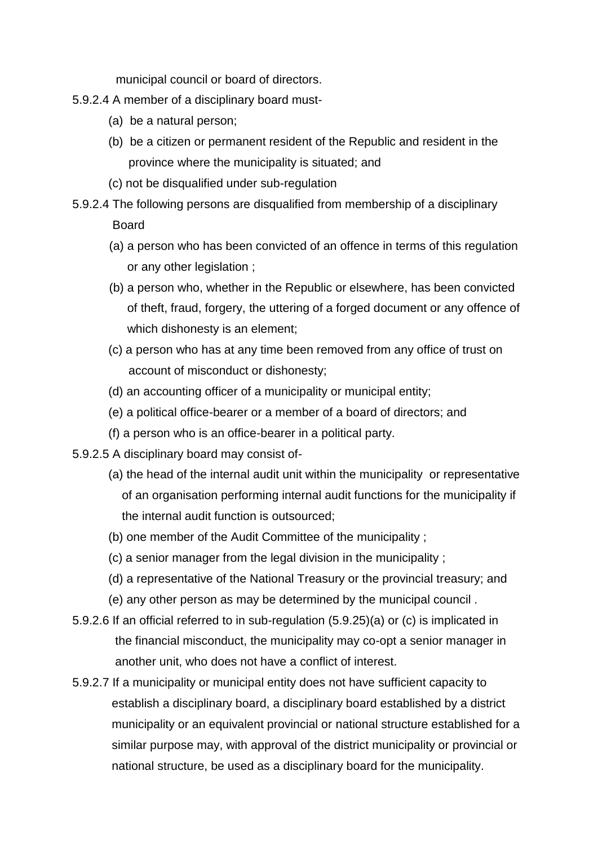municipal council or board of directors.

- 5.9.2.4 A member of a disciplinary board must-
	- (a) be a natural person;
	- (b) be a citizen or permanent resident of the Republic and resident in the province where the municipality is situated; and
	- (c) not be disqualified under sub-regulation
- 5.9.2.4 The following persons are disqualified from membership of a disciplinary Board
	- (a) a person who has been convicted of an offence in terms of this regulation or any other legislation ;
	- (b) a person who, whether in the Republic or elsewhere, has been convicted of theft, fraud, forgery, the uttering of a forged document or any offence of which dishonesty is an element;
	- (c) a person who has at any time been removed from any office of trust on account of misconduct or dishonesty;
	- (d) an accounting officer of a municipality or municipal entity;
	- (e) a political office-bearer or a member of a board of directors; and
	- (f) a person who is an office-bearer in a political party.
- 5.9.2.5 A disciplinary board may consist of-
	- (a) the head of the internal audit unit within the municipality or representative of an organisation performing internal audit functions for the municipality if the internal audit function is outsourced;
	- (b) one member of the Audit Committee of the municipality ;
	- (c) a senior manager from the legal division in the municipality ;
	- (d) a representative of the National Treasury or the provincial treasury; and
	- (e) any other person as may be determined by the municipal council .
- 5.9.2.6 If an official referred to in sub-regulation (5.9.25)(a) or (c) is implicated in the financial misconduct, the municipality may co-opt a senior manager in another unit, who does not have a conflict of interest.
- 5.9.2.7 If a municipality or municipal entity does not have sufficient capacity to establish a disciplinary board, a disciplinary board established by a district municipality or an equivalent provincial or national structure established for a similar purpose may, with approval of the district municipality or provincial or national structure, be used as a disciplinary board for the municipality.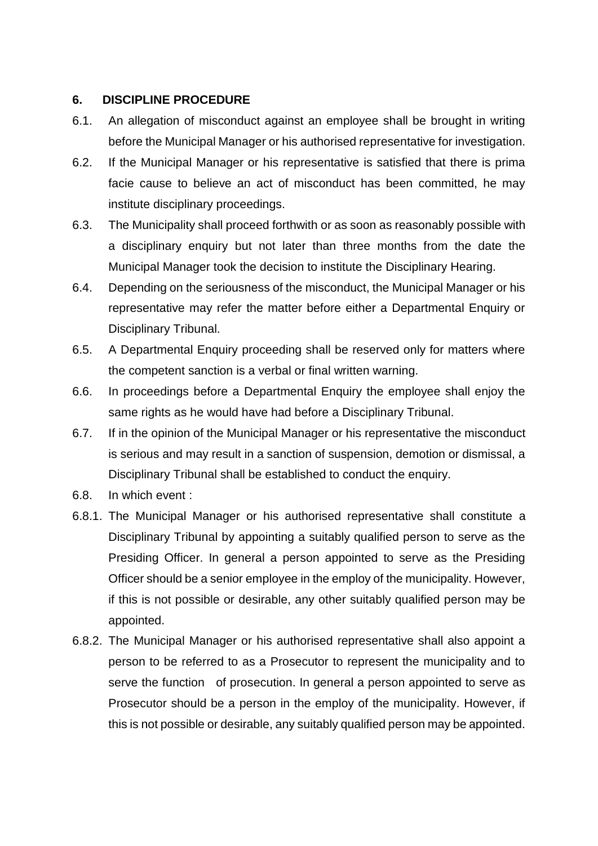### **6. DISCIPLINE PROCEDURE**

- 6.1. An allegation of misconduct against an employee shall be brought in writing before the Municipal Manager or his authorised representative for investigation.
- 6.2. If the Municipal Manager or his representative is satisfied that there is prima facie cause to believe an act of misconduct has been committed, he may institute disciplinary proceedings.
- 6.3. The Municipality shall proceed forthwith or as soon as reasonably possible with a disciplinary enquiry but not later than three months from the date the Municipal Manager took the decision to institute the Disciplinary Hearing.
- 6.4. Depending on the seriousness of the misconduct, the Municipal Manager or his representative may refer the matter before either a Departmental Enquiry or Disciplinary Tribunal.
- 6.5. A Departmental Enquiry proceeding shall be reserved only for matters where the competent sanction is a verbal or final written warning.
- 6.6. In proceedings before a Departmental Enquiry the employee shall enjoy the same rights as he would have had before a Disciplinary Tribunal.
- 6.7. If in the opinion of the Municipal Manager or his representative the misconduct is serious and may result in a sanction of suspension, demotion or dismissal, a Disciplinary Tribunal shall be established to conduct the enquiry.
- 6.8. In which event :
- 6.8.1. The Municipal Manager or his authorised representative shall constitute a Disciplinary Tribunal by appointing a suitably qualified person to serve as the Presiding Officer. In general a person appointed to serve as the Presiding Officer should be a senior employee in the employ of the municipality. However, if this is not possible or desirable, any other suitably qualified person may be appointed.
- 6.8.2. The Municipal Manager or his authorised representative shall also appoint a person to be referred to as a Prosecutor to represent the municipality and to serve the function of prosecution. In general a person appointed to serve as Prosecutor should be a person in the employ of the municipality. However, if this is not possible or desirable, any suitably qualified person may be appointed.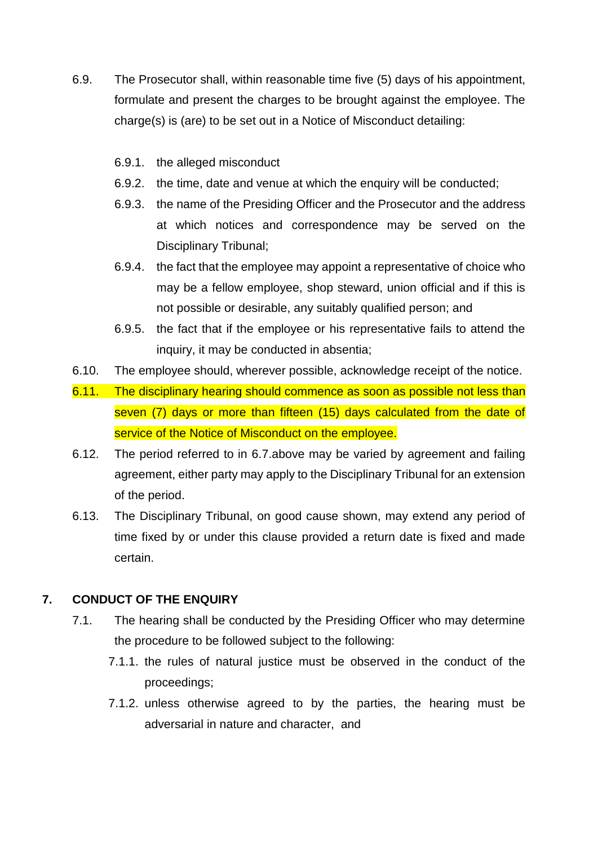- 6.9. The Prosecutor shall, within reasonable time five (5) days of his appointment, formulate and present the charges to be brought against the employee. The charge(s) is (are) to be set out in a Notice of Misconduct detailing:
	- 6.9.1. the alleged misconduct
	- 6.9.2. the time, date and venue at which the enquiry will be conducted;
	- 6.9.3. the name of the Presiding Officer and the Prosecutor and the address at which notices and correspondence may be served on the Disciplinary Tribunal;
	- 6.9.4. the fact that the employee may appoint a representative of choice who may be a fellow employee, shop steward, union official and if this is not possible or desirable, any suitably qualified person; and
	- 6.9.5. the fact that if the employee or his representative fails to attend the inquiry, it may be conducted in absentia;
- 6.10. The employee should, wherever possible, acknowledge receipt of the notice.
- 6.11. The disciplinary hearing should commence as soon as possible not less than seven (7) days or more than fifteen (15) days calculated from the date of service of the Notice of Misconduct on the employee.
- 6.12. The period referred to in 6.7.above may be varied by agreement and failing agreement, either party may apply to the Disciplinary Tribunal for an extension of the period.
- 6.13. The Disciplinary Tribunal, on good cause shown, may extend any period of time fixed by or under this clause provided a return date is fixed and made certain.

### **7. CONDUCT OF THE ENQUIRY**

- 7.1. The hearing shall be conducted by the Presiding Officer who may determine the procedure to be followed subject to the following:
	- 7.1.1. the rules of natural justice must be observed in the conduct of the proceedings;
	- 7.1.2. unless otherwise agreed to by the parties, the hearing must be adversarial in nature and character, and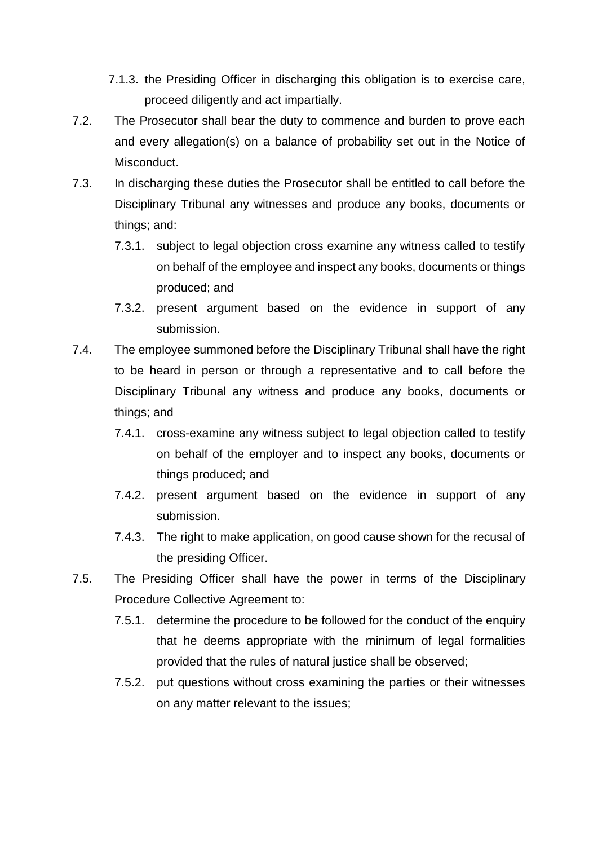- 7.1.3. the Presiding Officer in discharging this obligation is to exercise care, proceed diligently and act impartially.
- 7.2. The Prosecutor shall bear the duty to commence and burden to prove each and every allegation(s) on a balance of probability set out in the Notice of Misconduct.
- 7.3. In discharging these duties the Prosecutor shall be entitled to call before the Disciplinary Tribunal any witnesses and produce any books, documents or things; and:
	- 7.3.1. subject to legal objection cross examine any witness called to testify on behalf of the employee and inspect any books, documents or things produced; and
	- 7.3.2. present argument based on the evidence in support of any submission.
- 7.4. The employee summoned before the Disciplinary Tribunal shall have the right to be heard in person or through a representative and to call before the Disciplinary Tribunal any witness and produce any books, documents or things; and
	- 7.4.1. cross-examine any witness subject to legal objection called to testify on behalf of the employer and to inspect any books, documents or things produced; and
	- 7.4.2. present argument based on the evidence in support of any submission.
	- 7.4.3. The right to make application, on good cause shown for the recusal of the presiding Officer.
- 7.5. The Presiding Officer shall have the power in terms of the Disciplinary Procedure Collective Agreement to:
	- 7.5.1. determine the procedure to be followed for the conduct of the enquiry that he deems appropriate with the minimum of legal formalities provided that the rules of natural justice shall be observed;
	- 7.5.2. put questions without cross examining the parties or their witnesses on any matter relevant to the issues;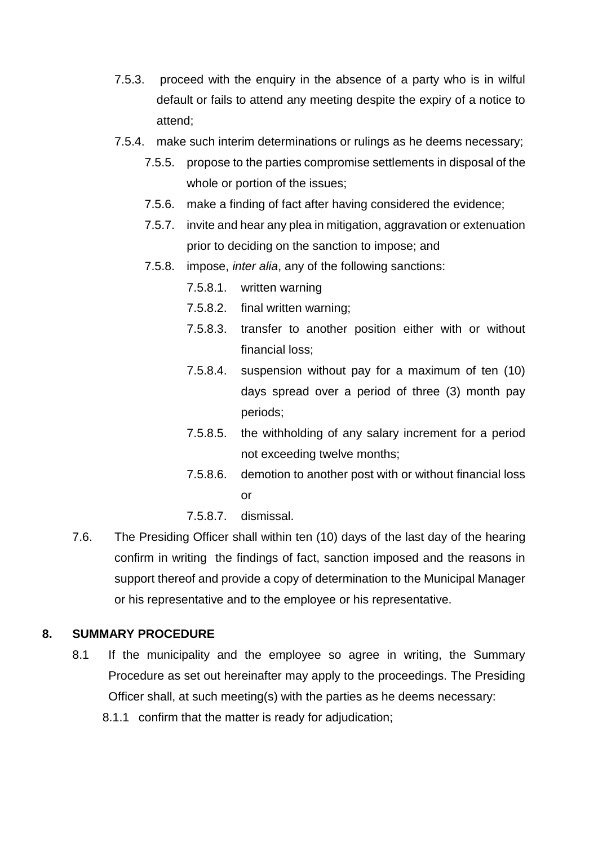- 7.5.3. proceed with the enquiry in the absence of a party who is in wilful default or fails to attend any meeting despite the expiry of a notice to attend;
- 7.5.4. make such interim determinations or rulings as he deems necessary;
	- 7.5.5. propose to the parties compromise settlements in disposal of the whole or portion of the issues;
	- 7.5.6. make a finding of fact after having considered the evidence;
	- 7.5.7. invite and hear any plea in mitigation, aggravation or extenuation prior to deciding on the sanction to impose; and
	- 7.5.8. impose, *inter alia*, any of the following sanctions:
		- 7.5.8.1. written warning
		- 7.5.8.2. final written warning;
		- 7.5.8.3. transfer to another position either with or without financial loss;
		- 7.5.8.4. suspension without pay for a maximum of ten (10) days spread over a period of three (3) month pay periods;
		- 7.5.8.5. the withholding of any salary increment for a period not exceeding twelve months;
		- 7.5.8.6. demotion to another post with or without financial loss or
		- 7.5.8.7. dismissal.
- 7.6. The Presiding Officer shall within ten (10) days of the last day of the hearing confirm in writing the findings of fact, sanction imposed and the reasons in support thereof and provide a copy of determination to the Municipal Manager or his representative and to the employee or his representative.

#### **8. SUMMARY PROCEDURE**

- 8.1 If the municipality and the employee so agree in writing, the Summary Procedure as set out hereinafter may apply to the proceedings. The Presiding Officer shall, at such meeting(s) with the parties as he deems necessary:
	- 8.1.1 confirm that the matter is ready for adjudication;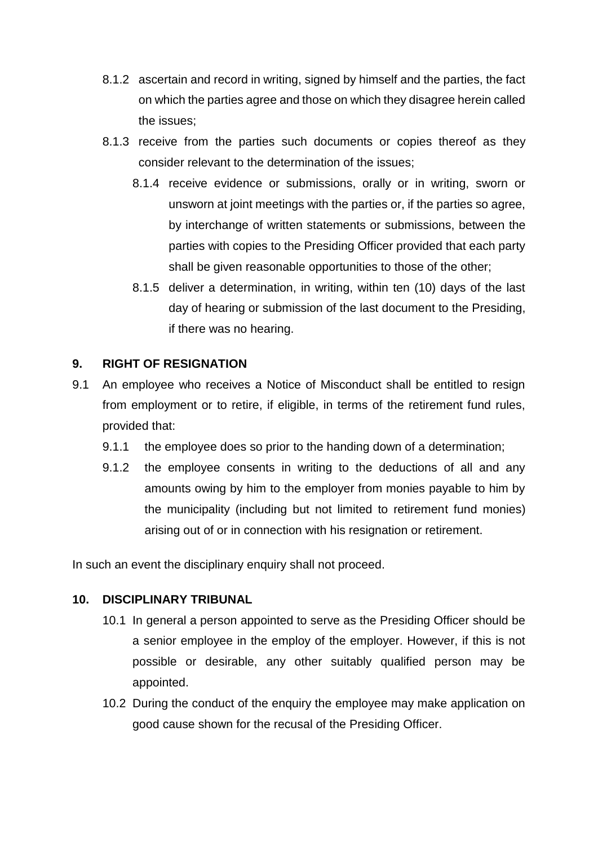- 8.1.2 ascertain and record in writing, signed by himself and the parties, the fact on which the parties agree and those on which they disagree herein called the issues;
- 8.1.3 receive from the parties such documents or copies thereof as they consider relevant to the determination of the issues;
	- 8.1.4 receive evidence or submissions, orally or in writing, sworn or unsworn at joint meetings with the parties or, if the parties so agree, by interchange of written statements or submissions, between the parties with copies to the Presiding Officer provided that each party shall be given reasonable opportunities to those of the other;
	- 8.1.5 deliver a determination, in writing, within ten (10) days of the last day of hearing or submission of the last document to the Presiding, if there was no hearing.

### **9. RIGHT OF RESIGNATION**

- 9.1 An employee who receives a Notice of Misconduct shall be entitled to resign from employment or to retire, if eligible, in terms of the retirement fund rules, provided that:
	- 9.1.1 the employee does so prior to the handing down of a determination;
	- 9.1.2 the employee consents in writing to the deductions of all and any amounts owing by him to the employer from monies payable to him by the municipality (including but not limited to retirement fund monies) arising out of or in connection with his resignation or retirement.

In such an event the disciplinary enquiry shall not proceed.

### **10. DISCIPLINARY TRIBUNAL**

- 10.1 In general a person appointed to serve as the Presiding Officer should be a senior employee in the employ of the employer. However, if this is not possible or desirable, any other suitably qualified person may be appointed.
- 10.2 During the conduct of the enquiry the employee may make application on good cause shown for the recusal of the Presiding Officer.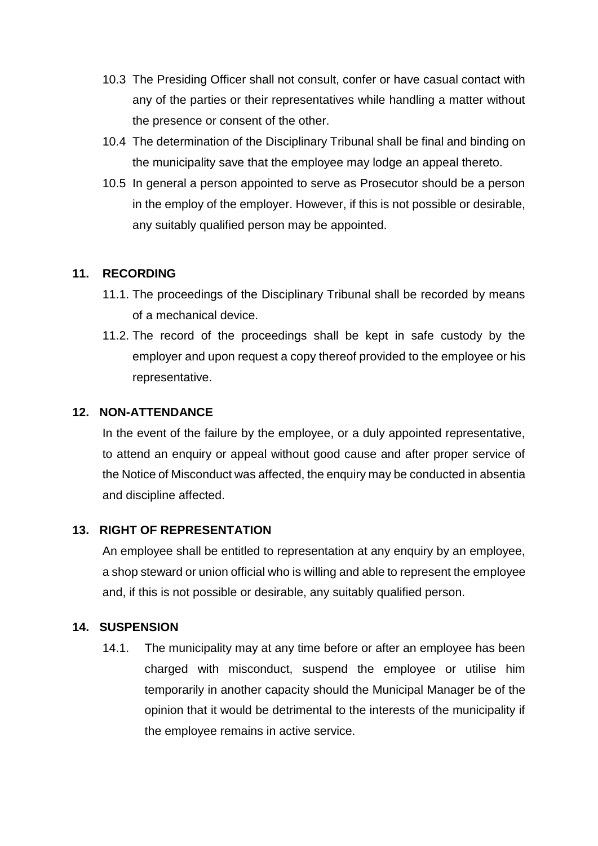- 10.3 The Presiding Officer shall not consult, confer or have casual contact with any of the parties or their representatives while handling a matter without the presence or consent of the other.
- 10.4 The determination of the Disciplinary Tribunal shall be final and binding on the municipality save that the employee may lodge an appeal thereto.
- 10.5 In general a person appointed to serve as Prosecutor should be a person in the employ of the employer. However, if this is not possible or desirable, any suitably qualified person may be appointed.

### **11. RECORDING**

- 11.1. The proceedings of the Disciplinary Tribunal shall be recorded by means of a mechanical device.
- 11.2. The record of the proceedings shall be kept in safe custody by the employer and upon request a copy thereof provided to the employee or his representative.

#### **12. NON-ATTENDANCE**

In the event of the failure by the employee, or a duly appointed representative, to attend an enquiry or appeal without good cause and after proper service of the Notice of Misconduct was affected, the enquiry may be conducted in absentia and discipline affected.

### **13. RIGHT OF REPRESENTATION**

An employee shall be entitled to representation at any enquiry by an employee, a shop steward or union official who is willing and able to represent the employee and, if this is not possible or desirable, any suitably qualified person.

#### **14. SUSPENSION**

14.1. The municipality may at any time before or after an employee has been charged with misconduct, suspend the employee or utilise him temporarily in another capacity should the Municipal Manager be of the opinion that it would be detrimental to the interests of the municipality if the employee remains in active service.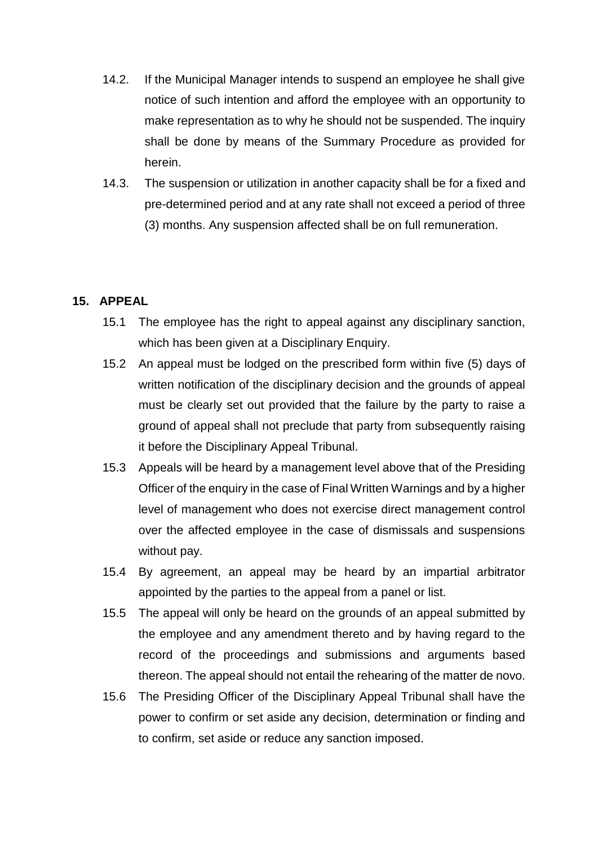- 14.2. If the Municipal Manager intends to suspend an employee he shall give notice of such intention and afford the employee with an opportunity to make representation as to why he should not be suspended. The inquiry shall be done by means of the Summary Procedure as provided for herein.
- 14.3. The suspension or utilization in another capacity shall be for a fixed and pre-determined period and at any rate shall not exceed a period of three (3) months. Any suspension affected shall be on full remuneration.

### **15. APPEAL**

- 15.1 The employee has the right to appeal against any disciplinary sanction, which has been given at a Disciplinary Enquiry.
- 15.2 An appeal must be lodged on the prescribed form within five (5) days of written notification of the disciplinary decision and the grounds of appeal must be clearly set out provided that the failure by the party to raise a ground of appeal shall not preclude that party from subsequently raising it before the Disciplinary Appeal Tribunal.
- 15.3 Appeals will be heard by a management level above that of the Presiding Officer of the enquiry in the case of Final Written Warnings and by a higher level of management who does not exercise direct management control over the affected employee in the case of dismissals and suspensions without pay.
- 15.4 By agreement, an appeal may be heard by an impartial arbitrator appointed by the parties to the appeal from a panel or list.
- 15.5 The appeal will only be heard on the grounds of an appeal submitted by the employee and any amendment thereto and by having regard to the record of the proceedings and submissions and arguments based thereon. The appeal should not entail the rehearing of the matter de novo.
- 15.6 The Presiding Officer of the Disciplinary Appeal Tribunal shall have the power to confirm or set aside any decision, determination or finding and to confirm, set aside or reduce any sanction imposed.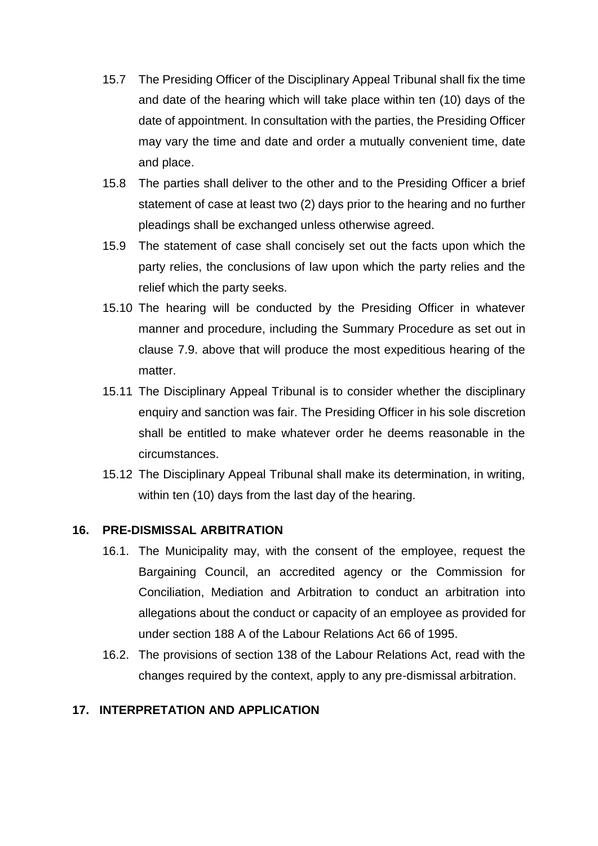- 15.7 The Presiding Officer of the Disciplinary Appeal Tribunal shall fix the time and date of the hearing which will take place within ten (10) days of the date of appointment. In consultation with the parties, the Presiding Officer may vary the time and date and order a mutually convenient time, date and place.
- 15.8 The parties shall deliver to the other and to the Presiding Officer a brief statement of case at least two (2) days prior to the hearing and no further pleadings shall be exchanged unless otherwise agreed.
- 15.9 The statement of case shall concisely set out the facts upon which the party relies, the conclusions of law upon which the party relies and the relief which the party seeks.
- 15.10 The hearing will be conducted by the Presiding Officer in whatever manner and procedure, including the Summary Procedure as set out in clause 7.9. above that will produce the most expeditious hearing of the matter.
- 15.11 The Disciplinary Appeal Tribunal is to consider whether the disciplinary enquiry and sanction was fair. The Presiding Officer in his sole discretion shall be entitled to make whatever order he deems reasonable in the circumstances.
- 15.12 The Disciplinary Appeal Tribunal shall make its determination, in writing, within ten (10) days from the last day of the hearing.

#### **16. PRE-DISMISSAL ARBITRATION**

- 16.1. The Municipality may, with the consent of the employee, request the Bargaining Council, an accredited agency or the Commission for Conciliation, Mediation and Arbitration to conduct an arbitration into allegations about the conduct or capacity of an employee as provided for under section 188 A of the Labour Relations Act 66 of 1995.
- 16.2. The provisions of section 138 of the Labour Relations Act, read with the changes required by the context, apply to any pre-dismissal arbitration.

### **17. INTERPRETATION AND APPLICATION**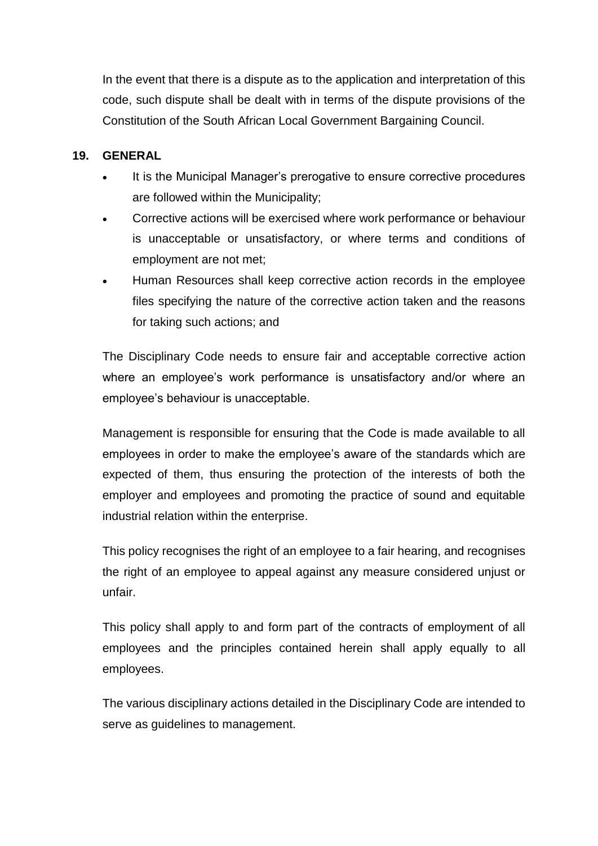In the event that there is a dispute as to the application and interpretation of this code, such dispute shall be dealt with in terms of the dispute provisions of the Constitution of the South African Local Government Bargaining Council.

### **19. GENERAL**

- It is the Municipal Manager's prerogative to ensure corrective procedures are followed within the Municipality;
- Corrective actions will be exercised where work performance or behaviour is unacceptable or unsatisfactory, or where terms and conditions of employment are not met;
- Human Resources shall keep corrective action records in the employee files specifying the nature of the corrective action taken and the reasons for taking such actions; and

The Disciplinary Code needs to ensure fair and acceptable corrective action where an employee's work performance is unsatisfactory and/or where an employee's behaviour is unacceptable.

Management is responsible for ensuring that the Code is made available to all employees in order to make the employee's aware of the standards which are expected of them, thus ensuring the protection of the interests of both the employer and employees and promoting the practice of sound and equitable industrial relation within the enterprise.

This policy recognises the right of an employee to a fair hearing, and recognises the right of an employee to appeal against any measure considered unjust or unfair.

This policy shall apply to and form part of the contracts of employment of all employees and the principles contained herein shall apply equally to all employees.

The various disciplinary actions detailed in the Disciplinary Code are intended to serve as guidelines to management.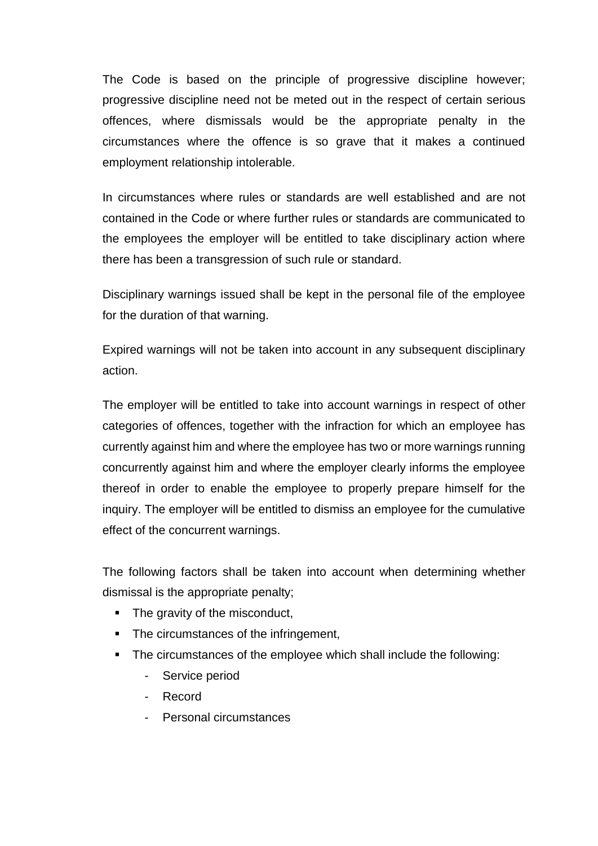The Code is based on the principle of progressive discipline however; progressive discipline need not be meted out in the respect of certain serious offences, where dismissals would be the appropriate penalty in the circumstances where the offence is so grave that it makes a continued employment relationship intolerable.

In circumstances where rules or standards are well established and are not contained in the Code or where further rules or standards are communicated to the employees the employer will be entitled to take disciplinary action where there has been a transgression of such rule or standard.

Disciplinary warnings issued shall be kept in the personal file of the employee for the duration of that warning.

Expired warnings will not be taken into account in any subsequent disciplinary action.

The employer will be entitled to take into account warnings in respect of other categories of offences, together with the infraction for which an employee has currently against him and where the employee has two or more warnings running concurrently against him and where the employer clearly informs the employee thereof in order to enable the employee to properly prepare himself for the inquiry. The employer will be entitled to dismiss an employee for the cumulative effect of the concurrent warnings.

The following factors shall be taken into account when determining whether dismissal is the appropriate penalty;

- The gravity of the misconduct,
- The circumstances of the infringement,
- The circumstances of the employee which shall include the following:
	- Service period
	- Record
	- Personal circumstances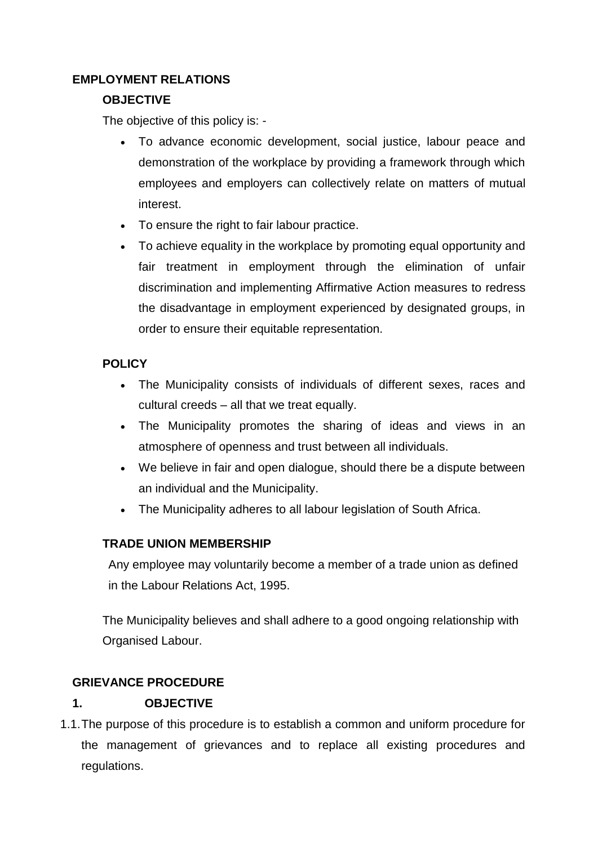# **EMPLOYMENT RELATIONS**

### **OBJECTIVE**

The objective of this policy is: -

- To advance economic development, social justice, labour peace and demonstration of the workplace by providing a framework through which employees and employers can collectively relate on matters of mutual interest.
- To ensure the right to fair labour practice.
- To achieve equality in the workplace by promoting equal opportunity and fair treatment in employment through the elimination of unfair discrimination and implementing Affirmative Action measures to redress the disadvantage in employment experienced by designated groups, in order to ensure their equitable representation.

# **POLICY**

- The Municipality consists of individuals of different sexes, races and cultural creeds – all that we treat equally.
- The Municipality promotes the sharing of ideas and views in an atmosphere of openness and trust between all individuals.
- We believe in fair and open dialogue, should there be a dispute between an individual and the Municipality.
- The Municipality adheres to all labour legislation of South Africa.

# **TRADE UNION MEMBERSHIP**

Any employee may voluntarily become a member of a trade union as defined in the Labour Relations Act, 1995.

The Municipality believes and shall adhere to a good ongoing relationship with Organised Labour.

# **GRIEVANCE PROCEDURE**

# **1. OBJECTIVE**

1.1.The purpose of this procedure is to establish a common and uniform procedure for the management of grievances and to replace all existing procedures and regulations.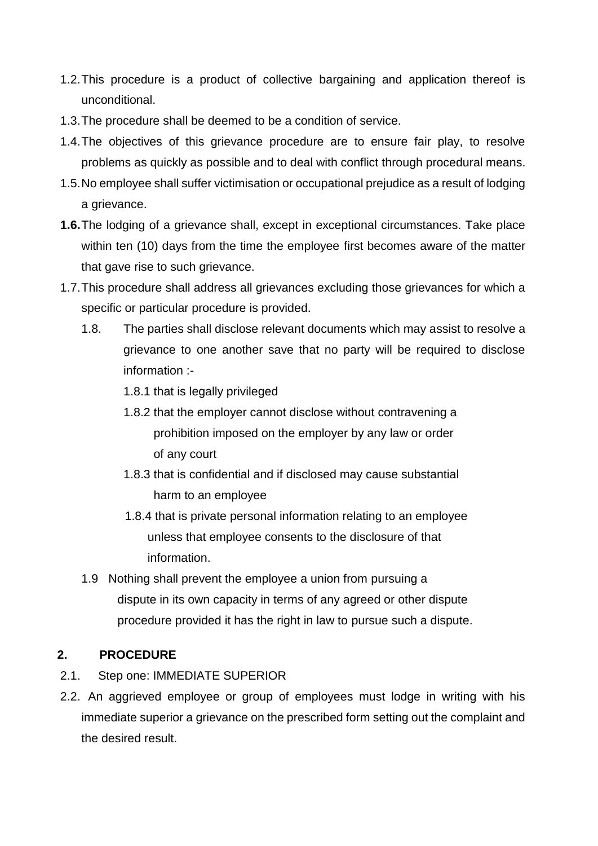- 1.2.This procedure is a product of collective bargaining and application thereof is unconditional.
- 1.3.The procedure shall be deemed to be a condition of service.
- 1.4.The objectives of this grievance procedure are to ensure fair play, to resolve problems as quickly as possible and to deal with conflict through procedural means.
- 1.5.No employee shall suffer victimisation or occupational prejudice as a result of lodging a grievance.
- **1.6.**The lodging of a grievance shall, except in exceptional circumstances. Take place within ten (10) days from the time the employee first becomes aware of the matter that gave rise to such grievance.
- 1.7.This procedure shall address all grievances excluding those grievances for which a specific or particular procedure is provided.
	- 1.8. The parties shall disclose relevant documents which may assist to resolve a grievance to one another save that no party will be required to disclose information :-
		- 1.8.1 that is legally privileged
		- 1.8.2 that the employer cannot disclose without contravening a prohibition imposed on the employer by any law or order of any court
		- 1.8.3 that is confidential and if disclosed may cause substantial harm to an employee
		- 1.8.4 that is private personal information relating to an employee unless that employee consents to the disclosure of that information.
	- 1.9 Nothing shall prevent the employee a union from pursuing a dispute in its own capacity in terms of any agreed or other dispute procedure provided it has the right in law to pursue such a dispute.

### **2. PROCEDURE**

- 2.1. Step one: IMMEDIATE SUPERIOR
- 2.2. An aggrieved employee or group of employees must lodge in writing with his immediate superior a grievance on the prescribed form setting out the complaint and the desired result.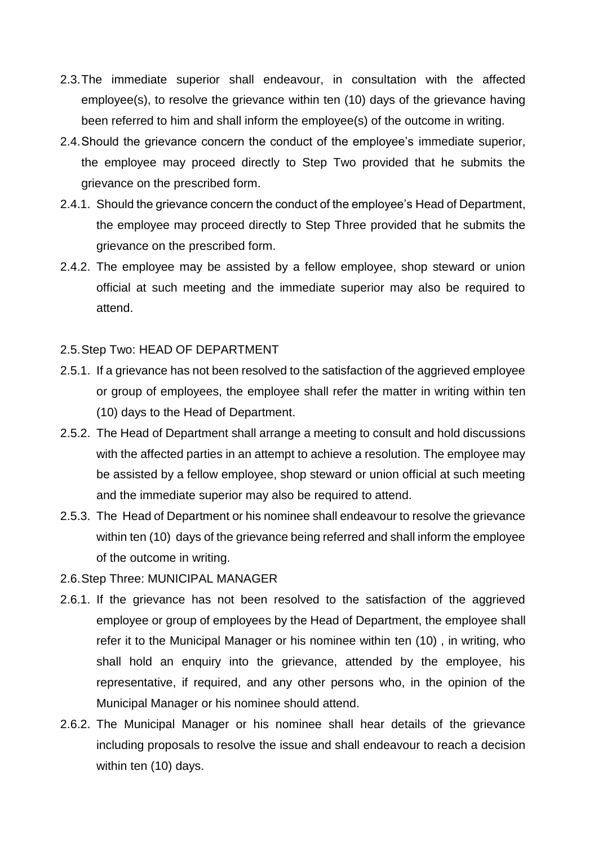- 2.3.The immediate superior shall endeavour, in consultation with the affected employee(s), to resolve the grievance within ten (10) days of the grievance having been referred to him and shall inform the employee(s) of the outcome in writing.
- 2.4.Should the grievance concern the conduct of the employee's immediate superior, the employee may proceed directly to Step Two provided that he submits the grievance on the prescribed form.
- 2.4.1. Should the grievance concern the conduct of the employee's Head of Department, the employee may proceed directly to Step Three provided that he submits the grievance on the prescribed form.
- 2.4.2. The employee may be assisted by a fellow employee, shop steward or union official at such meeting and the immediate superior may also be required to attend.

#### 2.5.Step Two: HEAD OF DEPARTMENT

- 2.5.1. If a grievance has not been resolved to the satisfaction of the aggrieved employee or group of employees, the employee shall refer the matter in writing within ten (10) days to the Head of Department.
- 2.5.2. The Head of Department shall arrange a meeting to consult and hold discussions with the affected parties in an attempt to achieve a resolution. The employee may be assisted by a fellow employee, shop steward or union official at such meeting and the immediate superior may also be required to attend.
- 2.5.3. The Head of Department or his nominee shall endeavour to resolve the grievance within ten (10) days of the grievance being referred and shall inform the employee of the outcome in writing.
- 2.6.Step Three: MUNICIPAL MANAGER
- 2.6.1. If the grievance has not been resolved to the satisfaction of the aggrieved employee or group of employees by the Head of Department, the employee shall refer it to the Municipal Manager or his nominee within ten (10) , in writing, who shall hold an enquiry into the grievance, attended by the employee, his representative, if required, and any other persons who, in the opinion of the Municipal Manager or his nominee should attend.
- 2.6.2. The Municipal Manager or his nominee shall hear details of the grievance including proposals to resolve the issue and shall endeavour to reach a decision within ten (10) days.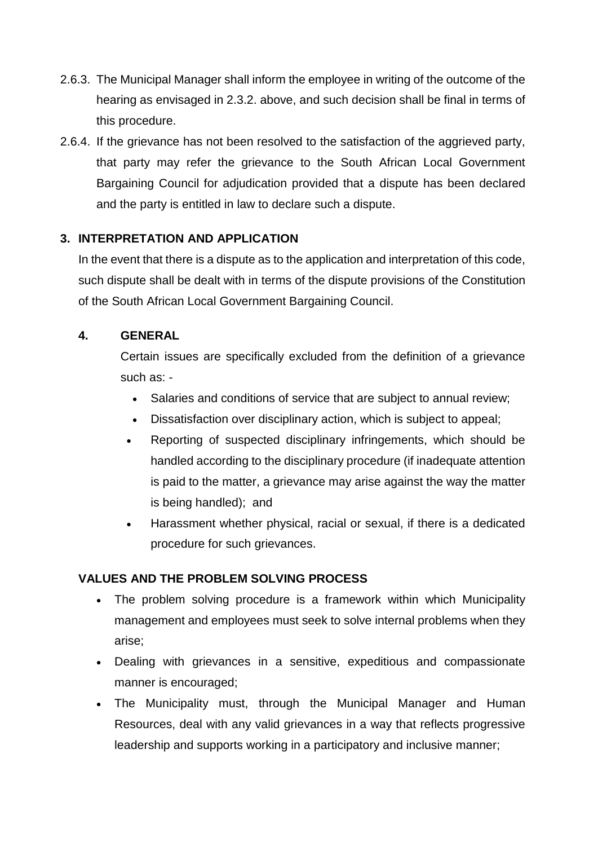- 2.6.3. The Municipal Manager shall inform the employee in writing of the outcome of the hearing as envisaged in 2.3.2. above, and such decision shall be final in terms of this procedure.
- 2.6.4. If the grievance has not been resolved to the satisfaction of the aggrieved party, that party may refer the grievance to the South African Local Government Bargaining Council for adjudication provided that a dispute has been declared and the party is entitled in law to declare such a dispute.

### **3. INTERPRETATION AND APPLICATION**

In the event that there is a dispute as to the application and interpretation of this code, such dispute shall be dealt with in terms of the dispute provisions of the Constitution of the South African Local Government Bargaining Council.

### **4. GENERAL**

Certain issues are specifically excluded from the definition of a grievance such as: -

- Salaries and conditions of service that are subject to annual review;
- Dissatisfaction over disciplinary action, which is subject to appeal;
- Reporting of suspected disciplinary infringements, which should be handled according to the disciplinary procedure (if inadequate attention is paid to the matter, a grievance may arise against the way the matter is being handled); and
- Harassment whether physical, racial or sexual, if there is a dedicated procedure for such grievances.

### **VALUES AND THE PROBLEM SOLVING PROCESS**

- The problem solving procedure is a framework within which Municipality management and employees must seek to solve internal problems when they arise;
- Dealing with grievances in a sensitive, expeditious and compassionate manner is encouraged;
- The Municipality must, through the Municipal Manager and Human Resources, deal with any valid grievances in a way that reflects progressive leadership and supports working in a participatory and inclusive manner;